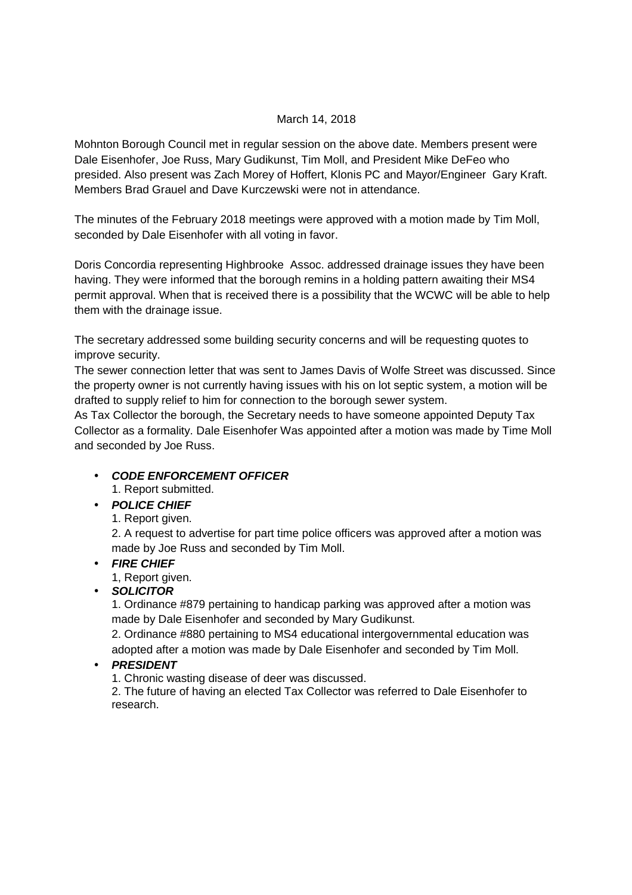## March 14, 2018

Mohnton Borough Council met in regular session on the above date. Members present were Dale Eisenhofer, Joe Russ, Mary Gudikunst, Tim Moll, and President Mike DeFeo who presided. Also present was Zach Morey of Hoffert, Klonis PC and Mayor/Engineer Gary Kraft. Members Brad Grauel and Dave Kurczewski were not in attendance.

The minutes of the February 2018 meetings were approved with a motion made by Tim Moll, seconded by Dale Eisenhofer with all voting in favor.

Doris Concordia representing Highbrooke Assoc. addressed drainage issues they have been having. They were informed that the borough remins in a holding pattern awaiting their MS4 permit approval. When that is received there is a possibility that the WCWC will be able to help them with the drainage issue.

The secretary addressed some building security concerns and will be requesting quotes to improve security.

The sewer connection letter that was sent to James Davis of Wolfe Street was discussed. Since the property owner is not currently having issues with his on lot septic system, a motion will be drafted to supply relief to him for connection to the borough sewer system.

As Tax Collector the borough, the Secretary needs to have someone appointed Deputy Tax Collector as a formality. Dale Eisenhofer Was appointed after a motion was made by Time Moll and seconded by Joe Russ.

# • **CODE ENFORCEMENT OFFICER**

1. Report submitted.

# • **POLICE CHIEF**

1. Report given.

2. A request to advertise for part time police officers was approved after a motion was made by Joe Russ and seconded by Tim Moll.

# • **FIRE CHIEF**

1, Report given.

# • **SOLICITOR**

1. Ordinance #879 pertaining to handicap parking was approved after a motion was made by Dale Eisenhofer and seconded by Mary Gudikunst.

2. Ordinance #880 pertaining to MS4 educational intergovernmental education was adopted after a motion was made by Dale Eisenhofer and seconded by Tim Moll.

# • **PRESIDENT**

1. Chronic wasting disease of deer was discussed.

2. The future of having an elected Tax Collector was referred to Dale Eisenhofer to research.